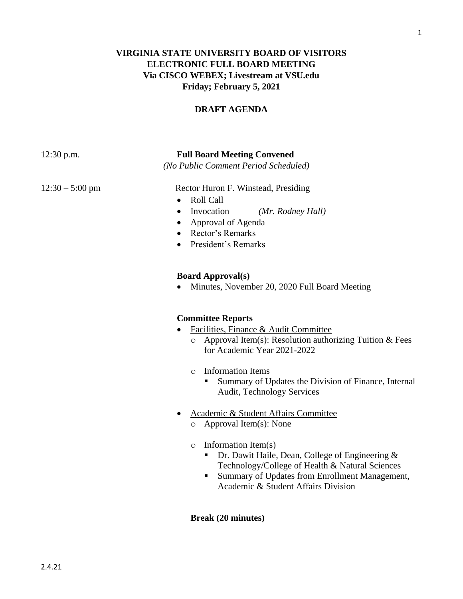# **VIRGINIA STATE UNIVERSITY BOARD OF VISITORS ELECTRONIC FULL BOARD MEETING Via CISCO WEBEX; Livestream at VSU.edu Friday; February 5, 2021**

### **DRAFT AGENDA**

12:30 p.m. **Full Board Meeting Convened**

*(No Public Comment Period Scheduled)*

12:30 – 5:00 pm Rector Huron F. Winstead, Presiding

- Roll Call
- Invocation *(Mr. Rodney Hall)*
- Approval of Agenda
- Rector's Remarks
- President's Remarks

#### **Board Approval(s)**

• Minutes, November 20, 2020 Full Board Meeting

#### **Committee Reports**

- Facilities, Finance & Audit Committee
	- o Approval Item(s): Resolution authorizing Tuition & Fees for Academic Year 2021-2022
	- o Information Items
		- Summary of Updates the Division of Finance, Internal Audit, Technology Services
- Academic & Student Affairs Committee
	- o Approval Item(s): None
	- $\circ$  Information Item(s)
		- **•** Dr. Dawit Haile, Dean, College of Engineering  $\&$ Technology/College of Health & Natural Sciences
		- Summary of Updates from Enrollment Management, Academic & Student Affairs Division

#### **Break (20 minutes)**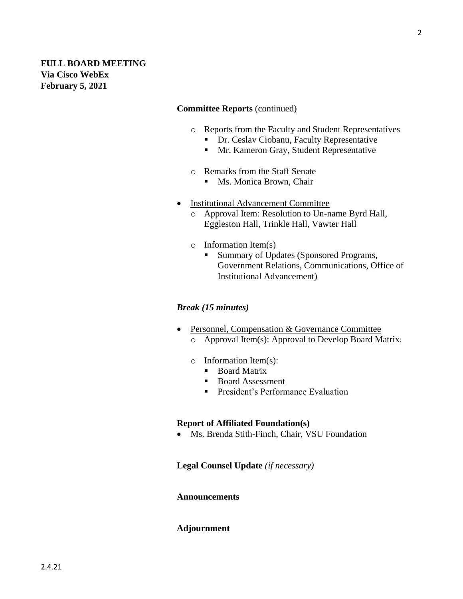**February 5, 2021**

#### **Committee Reports** (continued)

- o Reports from the Faculty and Student Representatives
	- **Dr. Ceslav Ciobanu, Faculty Representative**
	- **I** Mr. Kameron Gray, Student Representative
- o Remarks from the Staff Senate
	- Ms. Monica Brown, Chair
- Institutional Advancement Committee
	- o Approval Item: Resolution to Un-name Byrd Hall, Eggleston Hall, Trinkle Hall, Vawter Hall
	- o Information Item(s)
		- Summary of Updates (Sponsored Programs, Government Relations, Communications, Office of Institutional Advancement)

#### *Break (15 minutes)*

- Personnel, Compensation & Governance Committee o Approval Item(s): Approval to Develop Board Matrix:
	- o Information Item(s):
		- Board Matrix
			- Board Assessment
			- **•** President's Performance Evaluation

### **Report of Affiliated Foundation(s)**

• Ms. Brenda Stith-Finch, Chair, VSU Foundation

**Legal Counsel Update** *(if necessary)*

#### **Announcements**

### **Adjournment**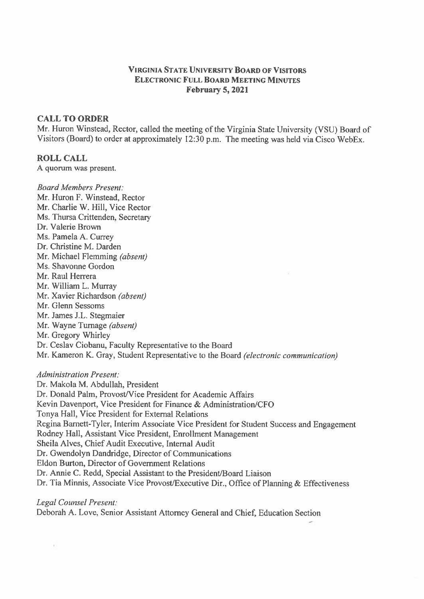### **VIRGINIA STATE UNIVERSITY BOARD OF VISITORS ELECTRONIC FULL BOARD MEETING MINUTES February 5, 2021**

### **CALL TO ORDER**

Mr. Huron Winstead, Rector, called the meeting of the Virginia State University (VSU) Board of Visitors (Board) to order at approximately 12:30 p.m. The meeting was held via Cisco WebEx.

## **ROLL CALL**

A quorum was present.

**Board Members Present:** Mr. Huron F. Winstead, Rector Mr. Charlie W. Hill, Vice Rector Ms. Thursa Crittenden, Secretary Dr. Valerie Brown Ms. Pamela A. Currey Dr. Christine M. Darden Mr. Michael Flemming (absent) Ms. Shavonne Gordon Mr. Raul Herrera Mr. William L. Murray Mr. Xavier Richardson (absent) Mr. Glenn Sessoms Mr. James J.L. Stegmaier Mr. Wayne Turnage (absent) Mr. Gregory Whirley Dr. Ceslav Ciobanu, Faculty Representative to the Board Mr. Kameron K. Gray, Student Representative to the Board (electronic communication)

## **Administration Present:**

ï,

Dr. Makola M. Abdullah, President Dr. Donald Palm, Provost/Vice President for Academic Affairs Kevin Davenport, Vice President for Finance & Administration/CFO Tonya Hall, Vice President for External Relations Regina Barnett-Tyler, Interim Associate Vice President for Student Success and Engagement Rodney Hall, Assistant Vice President, Enrollment Management Sheila Alves, Chief Audit Executive, Internal Audit Dr. Gwendolyn Dandridge, Director of Communications Eldon Burton, Director of Government Relations Dr. Annie C. Redd, Special Assistant to the President/Board Liaison Dr. Tia Minnis, Associate Vice Provost/Executive Dir., Office of Planning & Effectiveness

Legal Counsel Present: Deborah A. Love, Senior Assistant Attorney General and Chief, Education Section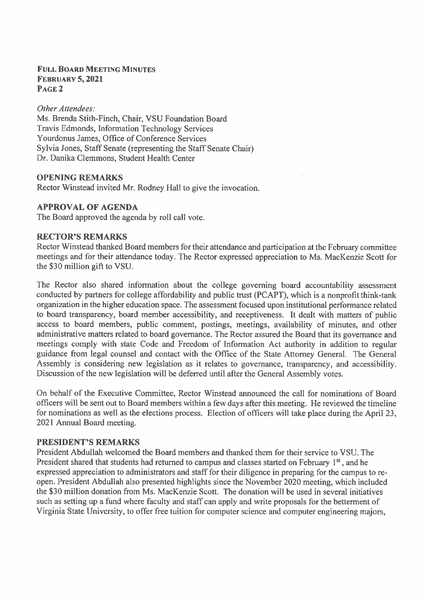### **FULL BOARD MEETING MINITES FEBRUARY 5, 2021** PAGE<sub>2</sub>

Other Attendees: Ms. Brenda Stith-Finch, Chair, VSU Foundation Board **Travis Edmonds, Information Technology Services** Yourdonus James, Office of Conference Services Sylvia Jones, Staff Senate (representing the Staff Senate Chair) Dr. Danika Clemmons, Student Health Center

## **OPENING REMARKS**

Rector Winstead invited Mr. Rodney Hall to give the invocation.

## **APPROVAL OF AGENDA**

The Board approved the agenda by roll call vote.

## **RECTOR'S REMARKS**

Rector Winstead thanked Board members for their attendance and participation at the February committee meetings and for their attendance today. The Rector expressed appreciation to Ms. MacKenzie Scott for the \$30 million gift to VSU.

The Rector also shared information about the college governing board accountability assessment conducted by partners for college affordability and public trust (PCAPT), which is a nonprofit think-tank organization in the higher education space. The assessment focused upon institutional performance related to board transparency, board member accessibility, and receptiveness. It dealt with matters of public access to board members, public comment, postings, meetings, availability of minutes, and other administrative matters related to board governance. The Rector assured the Board that its governance and meetings comply with state Code and Freedom of Information Act authority in addition to regular guidance from legal counsel and contact with the Office of the State Attorney General. The General Assembly is considering new legislation as it relates to governance, transparency, and accessibility. Discussion of the new legislation will be deferred until after the General Assembly votes.

On behalf of the Executive Committee, Rector Winstead announced the call for nominations of Board officers will be sent out to Board members within a few days after this meeting. He reviewed the timeline for nominations as well as the elections process. Election of officers will take place during the April 23, 2021 Annual Board meeting.

### **PRESIDENT'S REMARKS**

President Abdullah welcomed the Board members and thanked them for their service to VSU. The President shared that students had returned to campus and classes started on February 1<sup>st</sup>, and he expressed appreciation to administrators and staff for their diligence in preparing for the campus to reopen. President Abdullah also presented highlights since the November 2020 meeting, which included the \$30 million donation from Ms. MacKenzie Scott. The donation will be used in several initiatives such as setting up a fund where faculty and staff can apply and write proposals for the betterment of Virginia State University, to offer free tuition for computer science and computer engineering majors,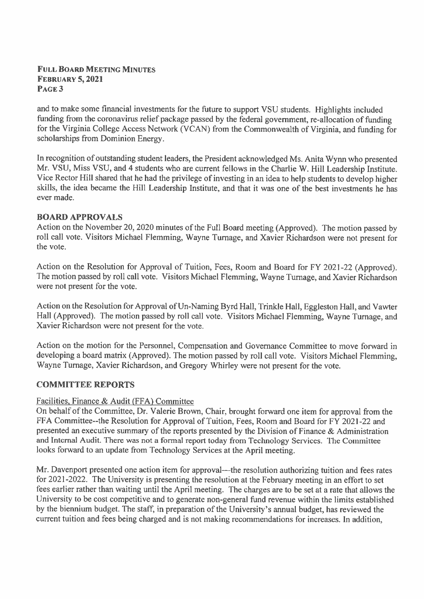## **FULL BOARD MEETING MINUTES FEBRUARY 5, 2021** PAGE<sub>3</sub>

and to make some financial investments for the future to support VSU students. Highlights included funding from the coronavirus relief package passed by the federal government, re-allocation of funding for the Virginia College Access Network (VCAN) from the Commonwealth of Virginia, and funding for scholarships from Dominion Energy.

In recognition of outstanding student leaders, the President acknowledged Ms. Anita Wynn who presented Mr. VSU, Miss VSU, and 4 students who are current fellows in the Charlie W. Hill Leadership Institute. Vice Rector Hill shared that he had the privilege of investing in an idea to help students to develop higher skills, the idea became the Hill Leadership Institute, and that it was one of the best investments he has ever made.

# **BOARD APPROVALS**

Action on the November 20, 2020 minutes of the Full Board meeting (Approved). The motion passed by roll call vote. Visitors Michael Flemming, Wayne Turnage, and Xavier Richardson were not present for the vote.

Action on the Resolution for Approval of Tuition, Fees, Room and Board for FY 2021-22 (Approved). The motion passed by roll call vote. Visitors Michael Flemming, Wayne Turnage, and Xavier Richardson were not present for the vote.

Action on the Resolution for Approval of Un-Naming Byrd Hall, Trinkle Hall, Eggleston Hall, and Vawter Hall (Approved). The motion passed by roll call vote. Visitors Michael Flemming, Wayne Turnage, and Xavier Richardson were not present for the vote.

Action on the motion for the Personnel, Compensation and Governance Committee to move forward in developing a board matrix (Approved). The motion passed by roll call vote. Visitors Michael Flemming, Wayne Turnage, Xavier Richardson, and Gregory Whirley were not present for the vote.

### **COMMITTEE REPORTS**

# Facilities, Finance & Audit (FFA) Committee

On behalf of the Committee, Dr. Valerie Brown, Chair, brought forward one item for approval from the FFA Committee--the Resolution for Approval of Tuition, Fees, Room and Board for FY 2021-22 and presented an executive summary of the reports presented by the Division of Finance  $\&$  Administration and Internal Audit. There was not a formal report today from Technology Services. The Committee looks forward to an update from Technology Services at the April meeting.

Mr. Davenport presented one action item for approval—the resolution authorizing tuition and fees rates for 2021-2022. The University is presenting the resolution at the February meeting in an effort to set fees earlier rather than waiting until the April meeting. The charges are to be set at a rate that allows the University to be cost competitive and to generate non-general fund revenue within the limits established by the biennium budget. The staff, in preparation of the University's annual budget, has reviewed the current tuition and fees being charged and is not making recommendations for increases. In addition,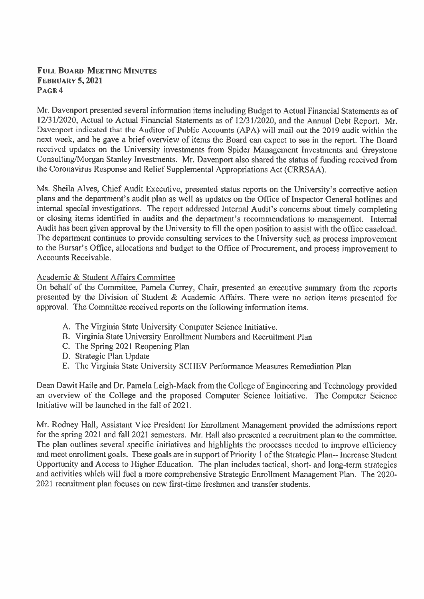## **FULL BOARD MEETING MINUTES FEBRUARY 5, 2021** PAGE 4

Mr. Davenport presented several information items including Budget to Actual Financial Statements as of 12/31/2020, Actual to Actual Financial Statements as of 12/31/2020, and the Annual Debt Report. Mr. Davenport indicated that the Auditor of Public Accounts (APA) will mail out the 2019 audit within the next week, and he gave a brief overview of items the Board can expect to see in the report. The Board received updates on the University investments from Spider Management Investments and Greystone Consulting/Morgan Stanley Investments. Mr. Davenport also shared the status of funding received from the Coronavirus Response and Relief Supplemental Appropriations Act (CRRSAA).

Ms. Sheila Alves, Chief Audit Executive, presented status reports on the University's corrective action plans and the department's audit plan as well as updates on the Office of Inspector General hotlines and internal special investigations. The report addressed Internal Audit's concerns about timely completing or closing items identified in audits and the department's recommendations to management. Internal Audit has been given approval by the University to fill the open position to assist with the office caseload. The department continues to provide consulting services to the University such as process improvement to the Bursar's Office, allocations and budget to the Office of Procurement, and process improvement to Accounts Receivable.

## Academic & Student Affairs Committee

On behalf of the Committee, Pamela Currey, Chair, presented an executive summary from the reports presented by the Division of Student & Academic Affairs. There were no action items presented for approval. The Committee received reports on the following information items.

- A. The Virginia State University Computer Science Initiative.
- B. Virginia State University Enrollment Numbers and Recruitment Plan
- C. The Spring 2021 Reopening Plan
- D. Strategic Plan Update
- E. The Virginia State University SCHEV Performance Measures Remediation Plan

Dean Dawit Haile and Dr. Pamela Leigh-Mack from the College of Engineering and Technology provided an overview of the College and the proposed Computer Science Initiative. The Computer Science Initiative will be launched in the fall of 2021.

Mr. Rodney Hall, Assistant Vice President for Enrollment Management provided the admissions report for the spring 2021 and fall 2021 semesters. Mr. Hall also presented a recruitment plan to the committee. The plan outlines several specific initiatives and highlights the processes needed to improve efficiency and meet enrollment goals. These goals are in support of Priority 1 of the Strategic Plan-- Increase Student Opportunity and Access to Higher Education. The plan includes tactical, short- and long-term strategies and activities which will fuel a more comprehensive Strategic Enrollment Management Plan. The 2020-2021 recruitment plan focuses on new first-time freshmen and transfer students.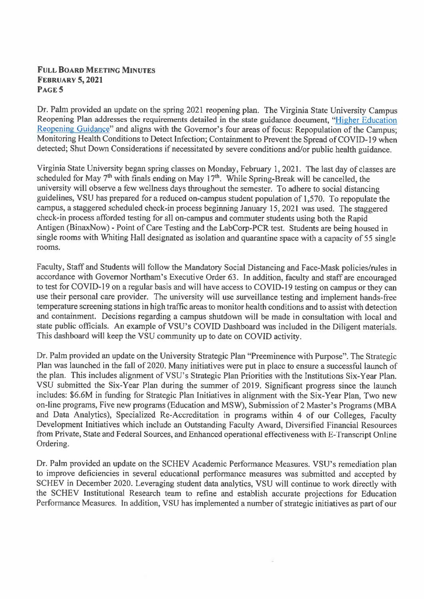### **FULL BOARD MEETING MINUTES FEBRUARY 5, 2021** PAGE 5

Dr. Palm provided an update on the spring 2021 reopening plan. The Virginia State University Campus Reopening Plan addresses the requirements detailed in the state guidance document, "Higher Education Reopening Guidance" and aligns with the Governor's four areas of focus: Repopulation of the Campus: Monitoring Health Conditions to Detect Infection; Containment to Prevent the Spread of COVID-19 when detected; Shut Down Considerations if necessitated by severe conditions and/or public health guidance.

Virginia State University began spring classes on Monday, February 1, 2021. The last day of classes are scheduled for May 7<sup>th</sup> with finals ending on May 17<sup>th</sup>. While Spring-Break will be cancelled, the university will observe a few wellness days throughout the semester. To adhere to social distancing guidelines, VSU has prepared for a reduced on-campus student population of 1,570. To repopulate the campus, a staggered scheduled check-in process beginning January 15, 2021 was used. The staggered check-in process afforded testing for all on-campus and commuter students using both the Rapid Antigen (BinaxNow) - Point of Care Testing and the LabCorp-PCR test. Students are being housed in single rooms with Whiting Hall designated as isolation and quarantine space with a capacity of 55 single rooms.

Faculty, Staff and Students will follow the Mandatory Social Distancing and Face-Mask policies/rules in accordance with Governor Northam's Executive Order 63. In addition, faculty and staff are encouraged to test for COVID-19 on a regular basis and will have access to COVID-19 testing on campus or they can use their personal care provider. The university will use surveillance testing and implement hands-free temperature screening stations in high traffic areas to monitor health conditions and to assist with detection and containment. Decisions regarding a campus shutdown will be made in consultation with local and state public officials. An example of VSU's COVID Dashboard was included in the Diligent materials. This dashboard will keep the VSU community up to date on COVID activity.

Dr. Palm provided an update on the University Strategic Plan "Preeminence with Purpose". The Strategic Plan was launched in the fall of 2020. Many initiatives were put in place to ensure a successful launch of the plan. This includes alignment of VSU's Strategic Plan Priorities with the Institutions Six-Year Plan. VSU submitted the Six-Year Plan during the summer of 2019. Significant progress since the launch includes: \$6.6M in funding for Strategic Plan Initiatives in alignment with the Six-Year Plan, Two new on-line programs, Five new programs (Education and MSW), Submission of 2 Master's Programs (MBA and Data Analytics), Specialized Re-Accreditation in programs within 4 of our Colleges, Faculty Development Initiatives which include an Outstanding Faculty Award, Diversified Financial Resources from Private, State and Federal Sources, and Enhanced operational effectiveness with E-Transcript Online Ordering.

Dr. Palm provided an update on the SCHEV Academic Performance Measures. VSU's remediation plan to improve deficiencies in several educational performance measures was submitted and accepted by SCHEV in December 2020. Leveraging student data analytics, VSU will continue to work directly with the SCHEV Institutional Research team to refine and establish accurate projections for Education Performance Measures. In addition, VSU has implemented a number of strategic initiatives as part of our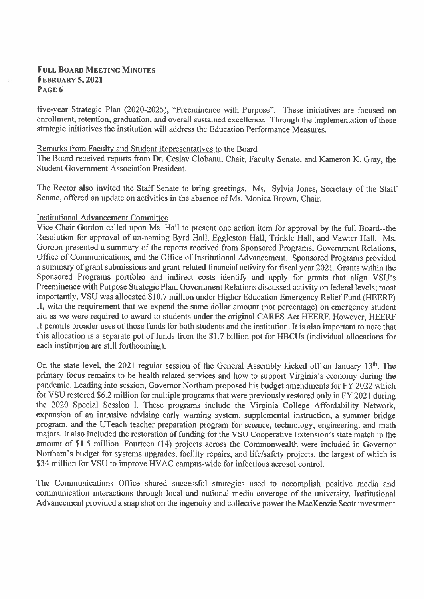### **FULL BOARD MEETING MINUTES FEBRUARY 5, 2021** PAGE 6

five-year Strategic Plan (2020-2025), "Preeminence with Purpose". These initiatives are focused on enrollment, retention, graduation, and overall sustained excellence. Through the implementation of these strategic initiatives the institution will address the Education Performance Measures.

#### Remarks from Faculty and Student Representatives to the Board

The Board received reports from Dr. Ceslav Ciobanu, Chair, Faculty Senate, and Kameron K. Gray, the Student Government Association President.

The Rector also invited the Staff Senate to bring greetings. Ms. Sylvia Jones, Secretary of the Staff Senate, offered an update on activities in the absence of Ms. Monica Brown, Chair.

### **Institutional Advancement Committee**

Vice Chair Gordon called upon Ms. Hall to present one action item for approval by the full Board--the Resolution for approval of un-naming Byrd Hall, Eggleston Hall, Trinkle Hall, and Vawter Hall. Ms. Gordon presented a summary of the reports received from Sponsored Programs, Government Relations, Office of Communications, and the Office of Institutional Advancement. Sponsored Programs provided a summary of grant submissions and grant-related financial activity for fiscal year 2021. Grants within the Sponsored Programs portfolio and indirect costs identify and apply for grants that align VSU's Preeminence with Purpose Strategic Plan. Government Relations discussed activity on federal levels; most importantly, VSU was allocated \$10.7 million under Higher Education Emergency Relief Fund (HEERF) II, with the requirement that we expend the same dollar amount (not percentage) on emergency student aid as we were required to award to students under the original CARES Act HEERF, However, HEERF II permits broader uses of those funds for both students and the institution. It is also important to note that this allocation is a separate pot of funds from the \$1.7 billion pot for HBCUs (individual allocations for each institution are still forthcoming).

On the state level, the 2021 regular session of the General Assembly kicked off on January 13<sup>th</sup>. The primary focus remains to be health related services and how to support Virginia's economy during the pandemic. Leading into session, Governor Northam proposed his budget amendments for FY 2022 which for VSU restored \$6.2 million for multiple programs that were previously restored only in FY 2021 during the 2020 Special Session I. These programs include the Virginia College Affordability Network, expansion of an intrusive advising early warning system, supplemental instruction, a summer bridge program, and the UTeach teacher preparation program for science, technology, engineering, and math majors. It also included the restoration of funding for the VSU Cooperative Extension's state match in the amount of \$1.5 million. Fourteen (14) projects across the Commonwealth were included in Governor Northam's budget for systems upgrades, facility repairs, and life/safety projects, the largest of which is \$34 million for VSU to improve HVAC campus-wide for infectious aerosol control.

The Communications Office shared successful strategies used to accomplish positive media and communication interactions through local and national media coverage of the university. Institutional Advancement provided a snap shot on the ingenuity and collective power the MacKenzie Scott investment